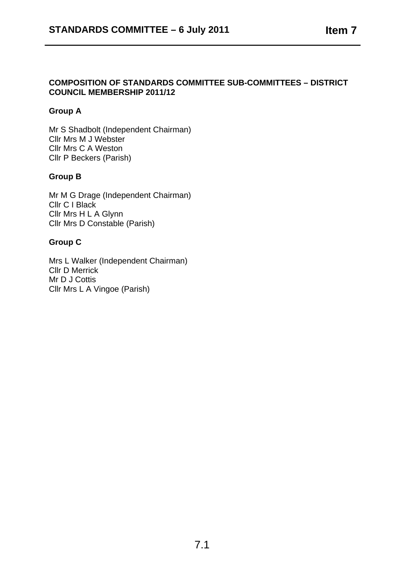# **COMPOSITION OF STANDARDS COMMITTEE SUB-COMMITTEES – DISTRICT COUNCIL MEMBERSHIP 2011/12**

# **Group A**

Mr S Shadbolt (Independent Chairman) Cllr Mrs M J Webster Cllr Mrs C A Weston Cllr P Beckers (Parish)

## **Group B**

Mr M G Drage (Independent Chairman) Cllr C I Black Cllr Mrs H L A Glynn Cllr Mrs D Constable (Parish)

## **Group C**

Mrs L Walker (Independent Chairman) Cllr D Merrick Mr D J Cottis Cllr Mrs L A Vingoe (Parish)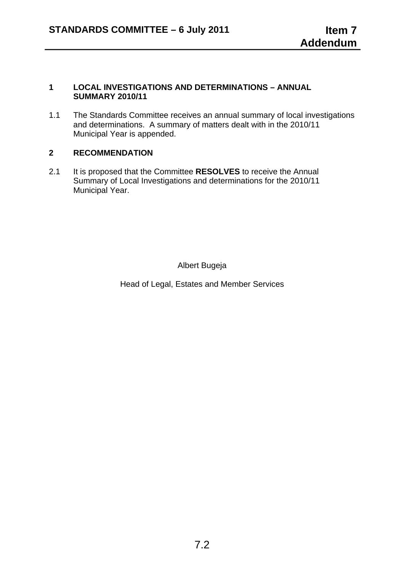#### **1 LOCAL INVESTIGATIONS AND DETERMINATIONS – ANNUAL SUMMARY 2010/11**

1.1 The Standards Committee receives an annual summary of local investigations and determinations. A summary of matters dealt with in the 2010/11 Municipal Year is appended.

# **2 RECOMMENDATION**

2.1 It is proposed that the Committee **RESOLVES** to receive the Annual Summary of Local Investigations and determinations for the 2010/11 Municipal Year.

Albert Bugeja

Head of Legal, Estates and Member Services